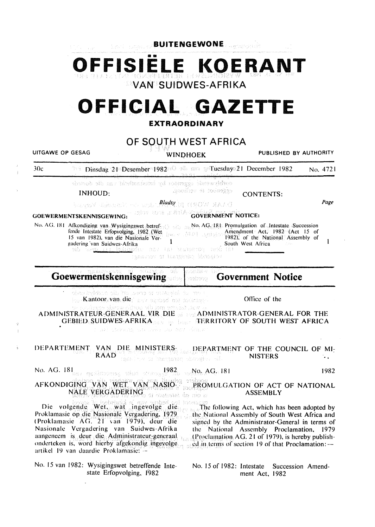**BUITENGEWONE**  •• **OFFISIELE KOERANT VAN SUIDWES-AFRIKA OFFICIAL GAZETTE EXTRAORDINARY OF SOUTH WEST AFRICA**  UITGAWE OP GESAG WINDHOEK PUBLISHED BY AUTHORITY 30c **Dinsdag 21 Desember 1982**<sup>2</sup> als assess the setting December 1982 No. 4721 obvivo de ogganost by inishinalistic an disorde Rooffey & Mooneges INHOUD: CONTENTS: **Blugssy Blinance Property Bludsy** in a state Walked Page GOVERNMENT NOTICE: GOEWERMENTSKENNISGEWING: No. AG. 181 Promulgation of Intestate Succession No. AG. 181 Alkondiging van Wysigingswet betref-Amendment Act. 1982 (Act 15 of fcndc Intestate Erlopvolging. 1982 (Wet 15 van 1982). van die Nasionale Ver-1982); of the National Assembly of  $\mathbf{1}$  $\mathbf{1}$ **gadering 'van Suidwes-Afrika 1**<br>sib an<u>go 111 ložina</u>rdik (nas 18) hautaansa aush (n) South West Africa **Tashto** votačnič párskradi to vorvane: eit. ubhàis k **Goewermentskennisgewing Government Notice**  coder. .<br>Walazo shi ito isan si waishi da mo ke Kantoor van die 'n sy serbed na soostagel Office of the wat, taama mel die oorb ADMINiSTRATEUR:GENERAAL VIR DIE ADMINISTRATOR-GENERAL FOR THE GEBIED SUIDWES-AFRIKA SERVIS SE TERRITORY OF SOUTH WEST AFRICA uni stato de sin sovo sal dell'Alter DEPARTEMENT VAN DIE MINISTERS- DEPARTMENT OF THE COUNCIL OF MI-RAAD<sup>nas</sup>, wellsweer ing the same engineeri NISTERS ... No. AG.  $181_{\text{SUS}}$  and  $\frac{1982_{\text{SUS}}}{\text{N}}$   $\frac{1982_{\text{SUS}}}{\text{N}}$   $\frac{181_{\text{SUS}}}{\text{N}}$ 

AFKONDIGING VAN WEt v'AN' NASiO~ NAtE vm{GADERINd ..... . l';R0MULGATION OF ACT OF NATIONAL ASSEMBLY

en bedrue volgende Weterland volgende volgende weterland volgen.<br>Pie volgende Weterland in Kevolge indig Proklamasie op die Nasionale Vergadering. 1979. <sup>&</sup>lt;Proklamasic AG. 21 'an 1979). dcur die Nasionalc Vergadering van Suidwes-Afrika aangeneem is deur die Administrateur-generaal onderteken is, word hierby afgekondig ingevolge either either sof section 19 of that Proclamation: -artikel 19 van daardie Proklamasie: -

No. 15 van 1982: Wysigingswet betreffende Intestate Erfopvolging, I982

The following Act, which has been adopted by the National Assembly of South West Africa and signed by the Administrator-General in terms of the National Assembly Proclamation. 1979 (Proclamation AG. 21 of 1979), is hereby publish-

No. 15 of 1982: Intestate Succession Amendment Act. 1982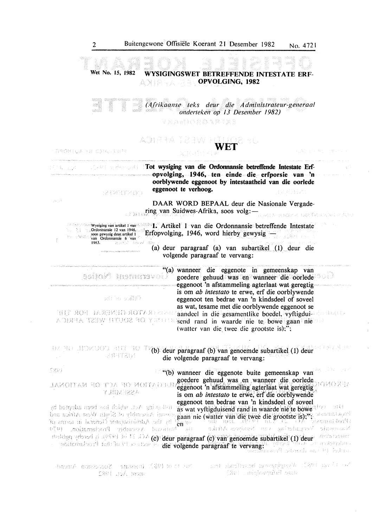

**CHOI** 법 고무리 "(b) wanneer die eggenote buite gemeenskap van . . . . .g<?f!d~re gelJ.l!!lP: ~as. en .· wanp~er 9ie oorlep~ .... ;  $\frac{1}{2}$   $\frac{1}{2}$   $\frac{1}{2}$   $\frac{1}{2}$   $\frac{1}{2}$   $\frac{1}{2}$   $\frac{1}{2}$   $\frac{1}{2}$   $\frac{1}{2}$   $\frac{1}{2}$   $\frac{1}{2}$   $\frac{1}{2}$   $\frac{1}{2}$   $\frac{1}{2}$   $\frac{1}{2}$   $\frac{1}{2}$   $\frac{1}{2}$   $\frac{1}{2}$   $\frac{1}{2}$   $\frac{1}{2}$   $\frac{1}{2}$   $\frac{1}{2}$  **YUHAMIREA** is om *ab intestato* te erwe, erf die oorblywende eggenoot ten bedrae van 'n kindsdeel. of soveel . as wat vyftigduisend rand in \Vaarde 'ni(te howe .: ·

gaati nie (wat die goal of die gestiese is);". as wat vyfiguaatie is in the full of two a strict and the grootste is);". The strict and the context of two stricts of two stricts of two stricts of two stricts of two stricts by the Administrator General in terms of en .. ·; Mathual Assembly Proclamation. 1979 deur paraductelle (f) deur paragraaf (c) van genoemde subartikel' (1) deur paragraaf (c) van deur paraductelle die volgende paragraaf te vervang: die volgende paragraaf te vervang: die sees aan die frochanation on die stel

we thought that wysignessed betreffende inter-, Number 1980; inspector Secondary America 1891 mainterral di omb ment Act. 1982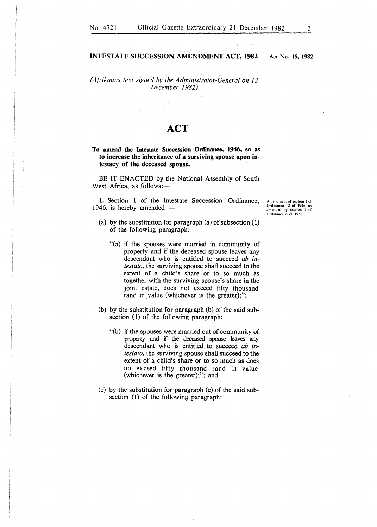### INTESTATE SUCCESSION AMENDMENT ACT, 1982

*(Afhkaans text signed by the Administrator-General on 13 December 1982)* 

## **ACT**

To amend the Intestate Succession Ordinance, 1946, so as to increase the inheritance of a surviving spouse upon intestacy of the deceased spouse.

BE IT ENACTED by the National Assembly of South West Africa, as follows:-

1. Section 1 of the Intestate Succession Ordinance, 1946, is hereby amended  $-$ 

Amendment of section I of Ordinance 12 of 1946, as amended by section I of Ordinance 6 of 1963.

- (a) by the substitution for paragraph (a) of subsection (1) of the following paragraph:
	- "(a) if the spouses were married in community of property and if the deceased spouse leaves any descendant who is entitled to succeed *ab intestato,* the surviving spouse shall succeed to the extent of a child's share or to so much as together with the surviving spouse's share in the joint estate. does not exceed fifty thousand rand in value (whichever is the greater);";
- (b) by the substitution for paragraph (b) of the said subsection (1) of the following paragraph:
	- "(b) if the spouses were married out of community of property and if the deceased spouse leaves any descendant who is entitled to succeed *ab intestato,* the surviving spouse shall succeed to the extent of a child's share or to so much as does no exceed fifty thousand rand in value (whichever is the greater);"; and
- (c) by the substitution for paragraph (c) of the said subsection (1) of the following paragraph:

Act No. 15, 1982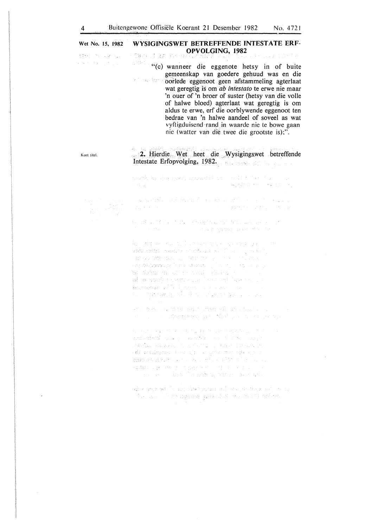#### Wet No. 15, 1982 WYSIGINGSWET BETREFFENDE INTESTATE ERF-OPVOLGING, 1982 Caso Jiàn Paso **KOSH CONTRACTOR**

eria a

 $\label{eq:1.1} \sqrt{\left\langle \left\langle \mathbf{v}_{\mathbf{a}}\right\rangle \right\rangle \left\langle \mathbf{v}_{\mathbf{a}}\right\rangle \left\langle \left\langle \mathbf{v}_{\mathbf{a}}\right\rangle \right\rangle \left\langle \mathbf{v}_{\mathbf{a}}\right\rangle \left\langle \mathbf{v}_{\mathbf{a}}\right\rangle \left\langle \mathbf{v}_{\mathbf{a}}\right\rangle \left\langle \mathbf{v}_{\mathbf{a}}\right\rangle \left\langle \mathbf{v}_{\mathbf{a}}\right\rangle \left\langle \mathbf{v}_{\mathbf{a}}\right\rangle \left\langle \mathbf{v}_{\mathbf$ 

 $\frac{1}{\sqrt{2}}\left(\frac{1}{\sqrt{2}}\frac{d^2}{dx^2}\right)$ "(c) wanneer die eggenote hetsy in of buite gemeenskap van goedere gehuud was en die inder Attir oorlede eggenoot geen afstammeling agterlaat wat geregtig is om ab *intestato* te erwe nie maar 'n ouer of 'n broer of suster (hetsy van die voile of halwe bloed) agterlaat wat geregtig is om aldus te erwe, erf die oorblywende eggenoot ten bedrae van 'n halwe aandeel of soveel as wat vyftigduiscnd rand in waarde nie te bowe gaan nic (watlcr van die twee die grootste is);".

# 2. Hierdie Wet heet die Wysigingswet betreffende Intestate Erfopvolging, 1982.

ando lo della canadiscia castituta (s. **Supplier Construction** 

Kort titcl.

and the control of the control of the second of the control of the control of the control of the control of the control of the control of the control of the control of the control of the control of the control of the contr State Press appropriate section of the par-

sured all Rock and Company and substitution of a a company also starts

 $\tilde{W}$  , graphs of the linear stress of strip (2)  $\sim 10$ โดยที่เคียงเดือนการเลือนการเป็นเพื่อนการเป็นเพื่อนการเลือนการเลือนการเลือนการเลือนการเลือนการเลือนการเลือนการเ<br>เหตุการณ์ (additional control of the first projection of the control and all<br>เหตุการณ์ (additional of the firs be debated of the way while a ad an abany character countries and they may be an an Dùbhlach an 1976.<br>Bhunaicheadh a bha bha an 1976 an 1977 an 1978.<br>Bha a Dùbhlach agus bha air san 1979 an 1979 agus an 1979 an 1

and a basic de la terregion dels sels terrados su con an a complete participate in the control

Reported states to the English theory of substance of the  $\mathbb{P}_0 \mathcal{R} \mathcal{Q} \cong \mathcal{R} \mathcal{R} \cong \mathcal{R} \mathcal{Q} \cong \mathcal{Q} \cong \mathcal{Q} \cong \mathcal{R} \mathcal{R} \mathcal{R} \mathcal{Q} \cong \mathcal{Q} \cong \mathcal{Q} \cong \mathcal{Q} \otimes \mathcal{Q} \cong \mathcal{Q} \otimes \mathcal{Q} \cong \mathcal{Q} \otimes \mathcal{Q} \cong \mathcal{Q} \otimes \mathcal{Q} \cong \mathcal{Q} \otimes \mathcal{Q} \otimes \mathcal{Q} \cong \mathcal{Q}$ AN ANDREW SERVICE CONTRACTOR AND A CONTRACTOR de poliziera standati ad processo de solo. and the second dramatic activity of the control of the control of the control of the control of the control of **P2.報わり直く終わけ、初度時から約1000分間、 ピンパルード** in a basilin mang-mangkan

 $\bar{z}$ 

discussions is an discussion to be subsequently that the case of committee principal was to (1) and one